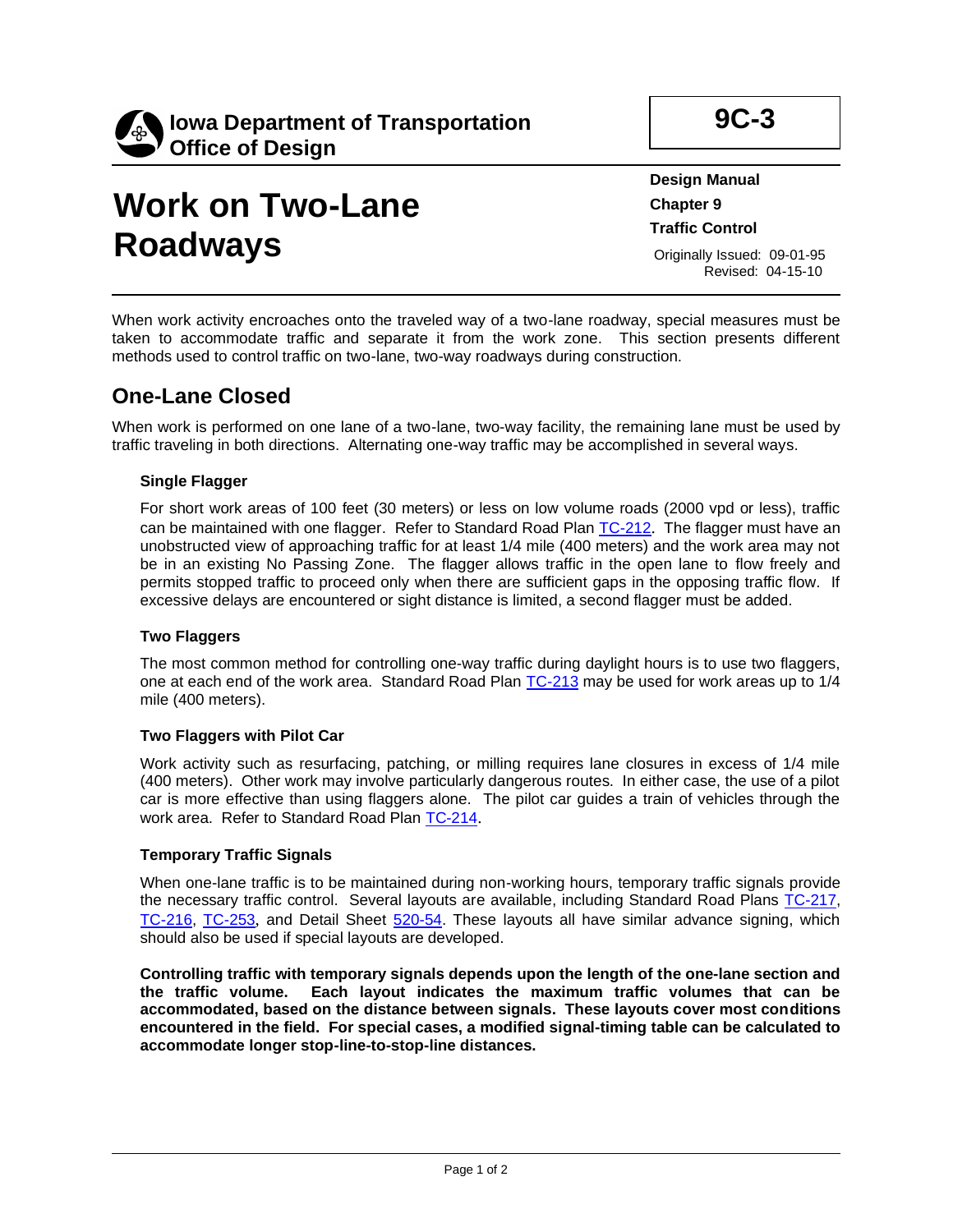

# **Work on Two-Lane Roadways**

**9C-3**

**Design Manual Chapter 9 Traffic Control**

Originally Issued: 09-01-95 Revised: 04-15-10

When work activity encroaches onto the traveled way of a two-lane roadway, special measures must be taken to accommodate traffic and separate it from the work zone. This section presents different methods used to control traffic on two-lane, two-way roadways during construction.

### **One-Lane Closed**

When work is performed on one lane of a two-lane, two-way facility, the remaining lane must be used by traffic traveling in both directions. Alternating one-way traffic may be accomplished in several ways.

### **Single Flagger**

For short work areas of 100 feet (30 meters) or less on low volume roads (2000 vpd or less), traffic can be maintained with one flagger. Refer to Standard Road Plan [TC-212](../SRP/IndividualStandards/tc212.pdf). The flagger must have an unobstructed view of approaching traffic for at least 1/4 mile (400 meters) and the work area may not be in an existing No Passing Zone. The flagger allows traffic in the open lane to flow freely and permits stopped traffic to proceed only when there are sufficient gaps in the opposing traffic flow. If excessive delays are encountered or sight distance is limited, a second flagger must be added.

#### **Two Flaggers**

The most common method for controlling one-way traffic during daylight hours is to use two flaggers, one at each end of the work area. Standard Road Plan [TC-213](../SRP/IndividualStandards/tc213.pdf) may be used for work areas up to 1/4 mile (400 meters).

### **Two Flaggers with Pilot Car**

Work activity such as resurfacing, patching, or milling requires lane closures in excess of 1/4 mile (400 meters). Other work may involve particularly dangerous routes. In either case, the use of a pilot car is more effective than using flaggers alone. The pilot car guides a train of vehicles through the work area. Refer to Standard Road Plan [TC-214](../SRP/IndividualStandards/tc214.pdf).

### **Temporary Traffic Signals**

When one-lane traffic is to be maintained during non-working hours, temporary traffic signals provide the necessary traffic control. Several layouts are available, including Standard Road Plans [TC-217,](../SRP/IndividualStandards/tc217.pdf) [TC-216,](../SRP/IndividualStandards/tc216.pdf) [TC-253](../SRP/IndividualStandards/tc253.pdf), and Detail Sheet [520-54.](../tnt/PDFsandWebFiles/IndividualPDFs/0520-54.pdf) These layouts all have similar advance signing, which should also be used if special layouts are developed.

**Controlling traffic with temporary signals depends upon the length of the one-lane section and the traffic volume. Each layout indicates the maximum traffic volumes that can be accommodated, based on the distance between signals. These layouts cover most conditions encountered in the field. For special cases, a modified signal-timing table can be calculated to accommodate longer stop-line-to-stop-line distances.**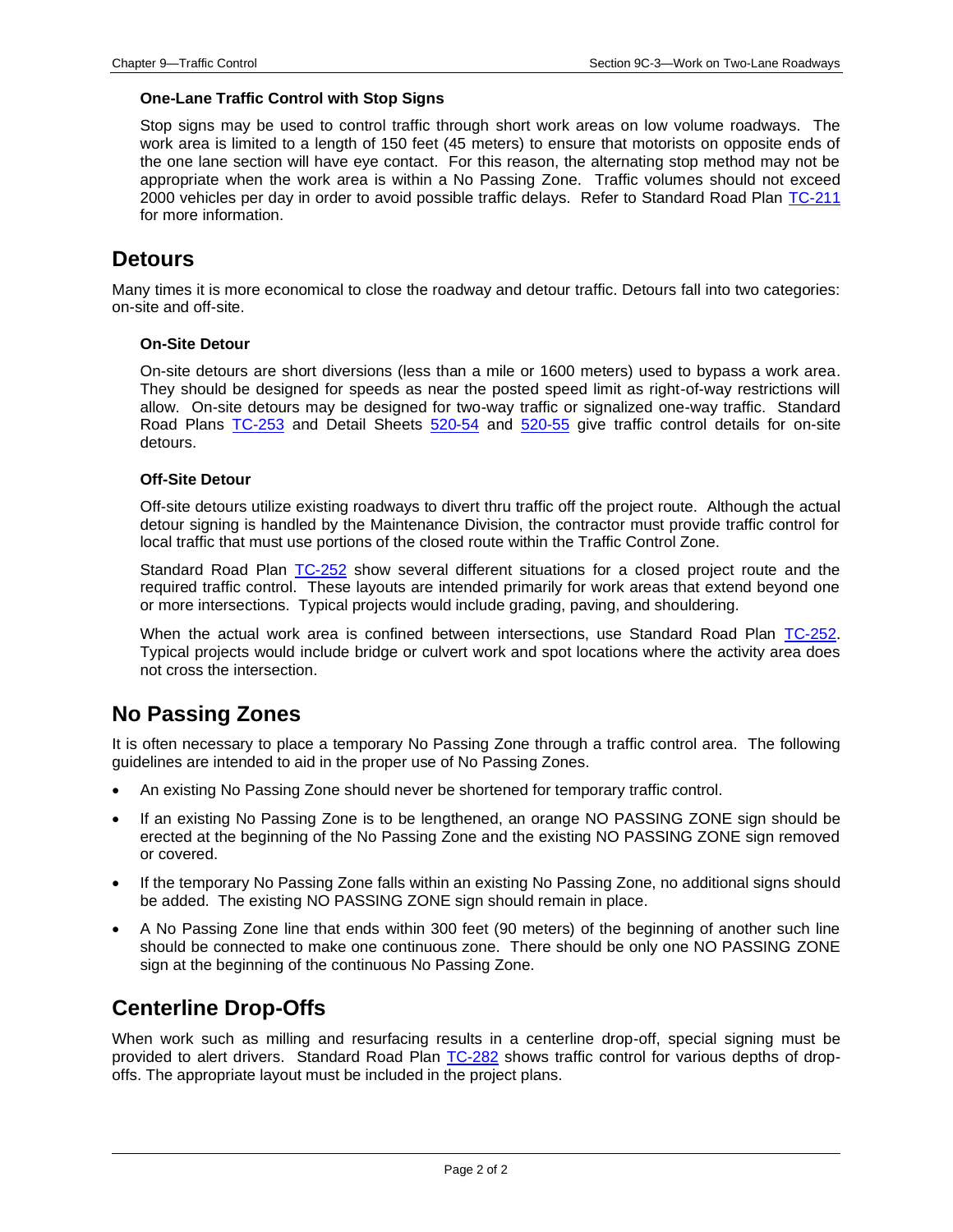#### **One-Lane Traffic Control with Stop Signs**

Stop signs may be used to control traffic through short work areas on low volume roadways. The work area is limited to a length of 150 feet (45 meters) to ensure that motorists on opposite ends of the one lane section will have eye contact. For this reason, the alternating stop method may not be appropriate when the work area is within a No Passing Zone. Traffic volumes should not exceed 2000 vehicles per day in order to avoid possible traffic delays. Refer to Standard Road Plan [TC-211](../SRP/IndividualStandards/tc211.pdf) for more information.

### **Detours**

Many times it is more economical to close the roadway and detour traffic. Detours fall into two categories: on-site and off-site.

#### **On-Site Detour**

On-site detours are short diversions (less than a mile or 1600 meters) used to bypass a work area. They should be designed for speeds as near the posted speed limit as right-of-way restrictions will allow. On-site detours may be designed for two-way traffic or signalized one-way traffic. Standard Road Plans [TC-253](../SRP/IndividualStandards/tc253.pdf) and Detail Sheets [520-54](../tnt/PDFsandWebFiles/IndividualPDFs/0520-54.pdf) and [520-55](../tnt/PDFsandWebFiles/IndividualPDFs/0520-55.pdf) give traffic control details for on-site detours.

#### **Off-Site Detour**

Off-site detours utilize existing roadways to divert thru traffic off the project route. Although the actual detour signing is handled by the Maintenance Division, the contractor must provide traffic control for local traffic that must use portions of the closed route within the Traffic Control Zone.

Standard Road Plan [TC-252](../SRP/IndividualStandards/tc252.pdf) show several different situations for a closed project route and the required traffic control. These layouts are intended primarily for work areas that extend beyond one or more intersections. Typical projects would include grading, paving, and shouldering.

When the actual work area is confined between intersections, use Standard Road Plan [TC-252](../SRP/IndividualStandards/tc252.pdf). Typical projects would include bridge or culvert work and spot locations where the activity area does not cross the intersection.

### **No Passing Zones**

It is often necessary to place a temporary No Passing Zone through a traffic control area. The following guidelines are intended to aid in the proper use of No Passing Zones.

- An existing No Passing Zone should never be shortened for temporary traffic control.
- If an existing No Passing Zone is to be lengthened, an orange NO PASSING ZONE sign should be erected at the beginning of the No Passing Zone and the existing NO PASSING ZONE sign removed or covered.
- If the temporary No Passing Zone falls within an existing No Passing Zone, no additional signs should be added. The existing NO PASSING ZONE sign should remain in place.
- A No Passing Zone line that ends within 300 feet (90 meters) of the beginning of another such line should be connected to make one continuous zone. There should be only one NO PASSING ZONE sign at the beginning of the continuous No Passing Zone.

### **Centerline Drop-Offs**

When work such as milling and resurfacing results in a centerline drop-off, special signing must be provided to alert drivers. Standard Road Plan [TC-282](../SRP/IndividualStandards/tc282.pdf) shows traffic control for various depths of dropoffs. The appropriate layout must be included in the project plans.